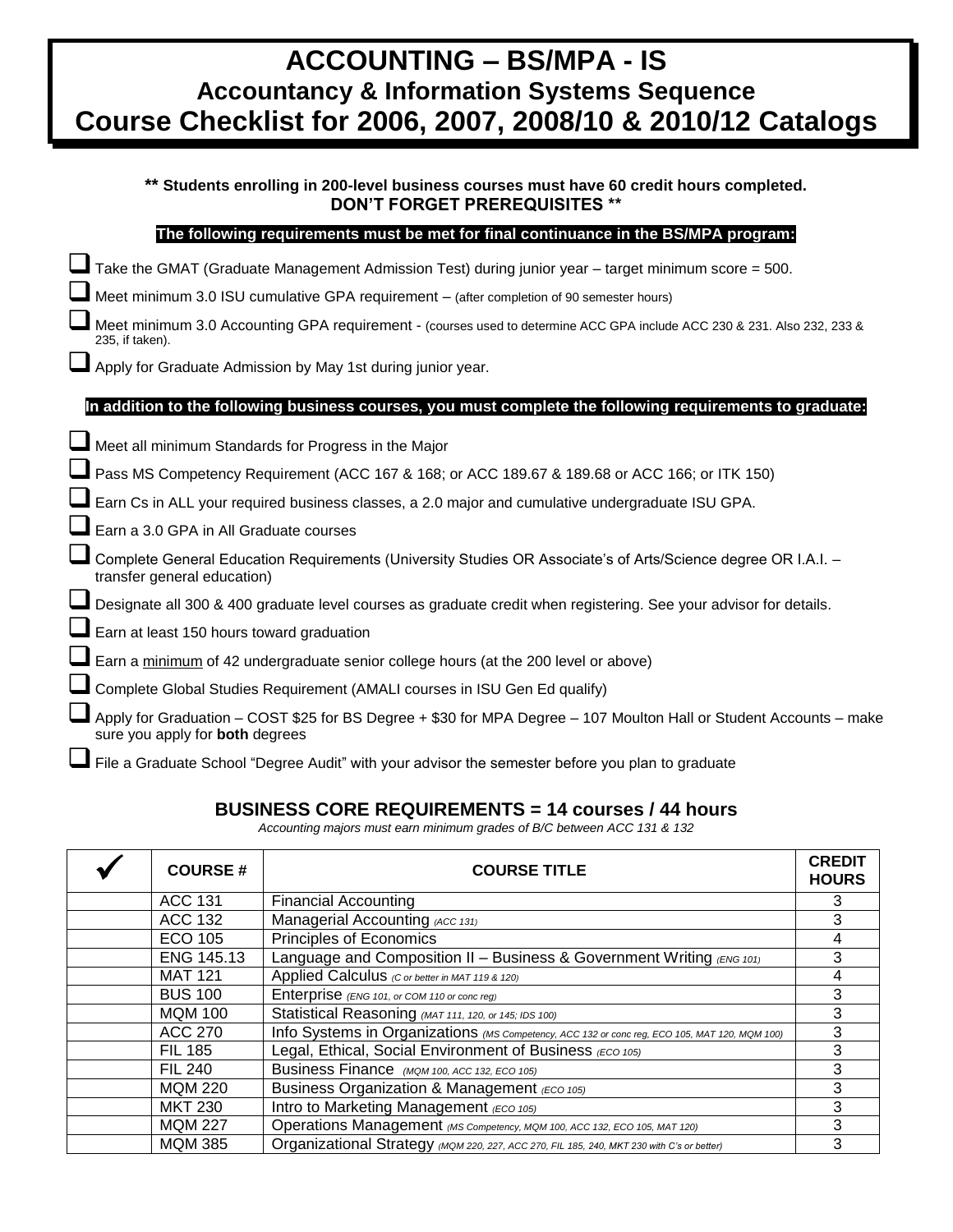| <b>ACCOUNTING – BS/MPA - IS</b>                             |
|-------------------------------------------------------------|
| <b>Accountancy &amp; Information Systems Sequence</b>       |
| Course Checklist for 2006, 2007, 2008/10 & 2010/12 Catalogs |
|                                                             |

|   | ** Students enrolling in 200-level business courses must have 60 credit hours completed.<br><b>DON'T FORGET PREREQUISITES **</b>                             |
|---|--------------------------------------------------------------------------------------------------------------------------------------------------------------|
|   | The following requirements must be met for final continuance in the BS/MPA program:                                                                          |
|   | Take the GMAT (Graduate Management Admission Test) during junior year - target minimum score = 500.                                                          |
|   | Meet minimum 3.0 ISU cumulative GPA requirement - (after completion of 90 semester hours)                                                                    |
|   | Meet minimum 3.0 Accounting GPA requirement - (courses used to determine ACC GPA include ACC 230 & 231. Also 232, 233 &<br>235, if taken).                   |
|   | Apply for Graduate Admission by May 1st during junior year.                                                                                                  |
|   | In addition to the following business courses, you must complete the following requirements to graduate:                                                     |
|   | Meet all minimum Standards for Progress in the Major                                                                                                         |
|   | Pass MS Competency Requirement (ACC 167 & 168; or ACC 189.67 & 189.68 or ACC 166; or ITK 150)                                                                |
|   | Earn Cs in ALL your required business classes, a 2.0 major and cumulative undergraduate ISU GPA.                                                             |
|   | Earn a 3.0 GPA in All Graduate courses                                                                                                                       |
|   | Complete General Education Requirements (University Studies OR Associate's of Arts/Science degree OR I.A.I. -<br>transfer general education)                 |
|   | Designate all 300 & 400 graduate level courses as graduate credit when registering. See your advisor for details.                                            |
|   | Earn at least 150 hours toward graduation                                                                                                                    |
|   | Earn a minimum of 42 undergraduate senior college hours (at the 200 level or above)                                                                          |
|   | Complete Global Studies Requirement (AMALI courses in ISU Gen Ed qualify)                                                                                    |
|   | Apply for Graduation – COST \$25 for BS Degree + \$30 for MPA Degree – 107 Moulton Hall or Student Accounts – make<br>sure you apply for <b>both</b> degrees |
| n |                                                                                                                                                              |

# File a Graduate School "Degree Audit" with your advisor the semester before you plan to graduate

## **BUSINESS CORE REQUIREMENTS = 14 courses / 44 hours**

*Accounting majors must earn minimum grades of B/C between ACC 131 & 132*

| <b>COURSE#</b> | <b>COURSE TITLE</b>                                                                           |   |
|----------------|-----------------------------------------------------------------------------------------------|---|
| <b>ACC 131</b> | <b>Financial Accounting</b>                                                                   | 3 |
| ACC 132        | Managerial Accounting (ACC 131)                                                               |   |
| <b>ECO 105</b> | Principles of Economics                                                                       | 4 |
| ENG 145.13     | Language and Composition II – Business & Government Writing (ENG 101)                         | 3 |
| <b>MAT 121</b> | Applied Calculus (C or better in MAT 119 & 120)                                               |   |
| <b>BUS 100</b> | Enterprise (ENG 101, or COM 110 or conc reg)                                                  | 3 |
| <b>MQM 100</b> | Statistical Reasoning (MAT 111, 120, or 145; IDS 100)                                         | 3 |
| <b>ACC 270</b> | Info Systems in Organizations (MS Competency, ACC 132 or conc reg, ECO 105, MAT 120, MQM 100) | 3 |
| <b>FIL 185</b> | Legal, Ethical, Social Environment of Business (ECO 105)                                      | 3 |
| <b>FIL 240</b> | Business Finance (MQM 100, ACC 132, ECO 105)                                                  | 3 |
| <b>MQM 220</b> | Business Organization & Management (ECO 105)                                                  | 3 |
| <b>MKT 230</b> | Intro to Marketing Management (ECO 105)                                                       |   |
| <b>MQM 227</b> | Operations Management (MS Competency, MQM 100, ACC 132, ECO 105, MAT 120)                     | 3 |
| <b>MQM 385</b> | Organizational Strategy (MQM 220, 227, ACC 270, FIL 185, 240, MKT 230 with C's or better)     | 3 |